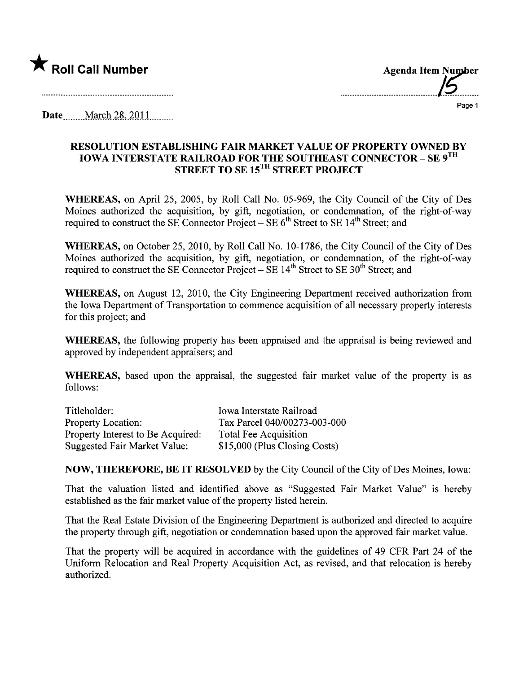

........................................t.............

Page 1

Date ........M.wçl\ .is-, .2QU. .......\_\_

## RESOLUTION ESTABLISHING FAIR MARKET VALUE OF PROPERTY OWNED BY IOWA INTERSTATE RAILROAD FOR THE SOUTHEAST CONNECTOR- SE 9TH STREET TO SE 15<sup>TH</sup> STREET PROJECT

WHEREAS, on April 25, 2005, by Roll Call No. 05-969, the City Council of the City of Des Moines authorized the acquisition, by gift, negotiation, or condemnation, of the right-of-way required to construct the SE Connector Project – SE  $6<sup>th</sup>$  Street to SE 14<sup>th</sup> Street; and

WHEREAS, on October 25,2010, by Roll Call No. 10-1786, the City Council of the City of Des Moines authorized the acquisition, by gift, negotiation, or condemnation, of the right-of-way required to construct the SE Connector Project – SE  $14<sup>th</sup>$  Street to SE  $30<sup>th</sup>$  Street; and

WHEREAS, on August 12, 2010, the City Engineering Deparment received authorization from the Iowa Department of Transportation to commence acquisition of all necessary property interests for this project; and

WHEREAS, the following property has been appraised and the appraisal is being reviewed and approved by independent appraisers; and

WHEREAS, based upon the appraisal, the suggested fair market value of the property is as follows:

| Titleholder:                      | Iowa Interstate Railroad      |
|-----------------------------------|-------------------------------|
| <b>Property Location:</b>         | Tax Parcel 040/00273-003-000  |
| Property Interest to Be Acquired: | <b>Total Fee Acquisition</b>  |
| Suggested Fair Market Value:      | \$15,000 (Plus Closing Costs) |

NOW, THEREFORE, BE IT RESOLVED by the City Council of the City of Des Moines, Iowa:

That the valuation listed and identified above as "Suggested Fair Market Value" is hereby established as the fair market value of the property listed herein.

That the Real Estate Division of the Engineering Deparment is authorized and directed to acquire the property through gift, negotiation or condemnation based upon the approved fair market value.

That the property will be acquired in accordance with the guidelines of 49 CFR Part 24 of the Uniform Relocation and Real Property Acquisition Act, as revised, and that relocation is hereby authorized.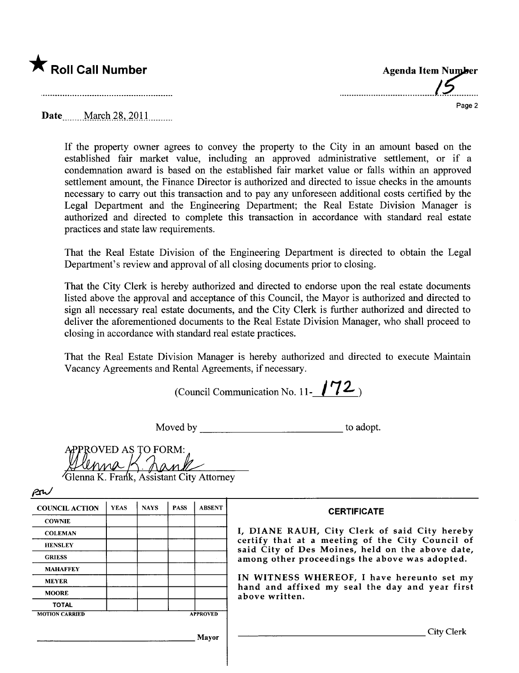

| <b>Agenda Item Number</b> |
|---------------------------|
|                           |
|                           |

 $\cdots$ 

Page 2

**Date** March 28, 2011

If the property owner agrees to convey the property to the City in an amount based on the established fair market value, including an approved administrative settlement, or if a condemnation award is based on the established fair market value or falls within an approved settlement amount, the Finance Director is authorized and directed to issue checks in the amounts necessary to carry out this transaction and to pay any unforeseen additional costs certified by the Legal Department and the Engineering Department; the Real Estate Division Manager is authorized and directed to complete this transaction in accordance with standard real estate practices and state law requirements.

That the Real Estate Division of the Engineering Department is directed to obtain the Legal Department's review and approval of all closing documents prior to closing.

That the City Clerk is hereby authorized and directed to endorse upon the real estate documents listed above the approval and acceptance of this Council, the Mayor is authorized and directed to sign all necessary real estate documents, and the City Clerk is further authorized and directed to deliver the aforementioned documents to the Real Estate Division Manager, who shall proceed to closing in accordance with standard real estate practices.

That the Real Estate Division Manager is hereby authorized and directed to execute Maintain Vacancy Agreements and Rental Agreements, if necessary.

(Council Communication No. 11- $/72$ )

Moved by to adopt.

| APPROVED AS TO FORM: |              |
|----------------------|--------------|
|                      | lenna KChank |
|                      |              |
|                      |              |

Glenna K. Frank, Assistant City Attorney

| -- |
|----|
|----|

| <b>COUNCIL ACTION</b> | <b>YEAS</b> | <b>NAYS</b> | <b>PASS</b> | <b>ABSENT</b>   | <b>CERTIFICATE</b>                                                                                   |
|-----------------------|-------------|-------------|-------------|-----------------|------------------------------------------------------------------------------------------------------|
| <b>COWNIE</b>         |             |             |             |                 |                                                                                                      |
| <b>COLEMAN</b>        |             |             |             |                 | I, DIANE RAUH, City Clerk of said City hereby                                                        |
| <b>HENSLEY</b>        |             |             |             |                 | certify that at a meeting of the City Council of<br>said City of Des Moines, held on the above date, |
| <b>GRIESS</b>         |             |             |             |                 | among other proceedings the above was adopted.                                                       |
| <b>MAHAFFEY</b>       |             |             |             |                 |                                                                                                      |
| <b>MEYER</b>          |             |             |             |                 | IN WITNESS WHEREOF, I have hereunto set my                                                           |
| <b>MOORE</b>          |             |             |             |                 | hand and affixed my seal the day and year first<br>above written.                                    |
| <b>TOTAL</b>          |             |             |             |                 |                                                                                                      |
| <b>MOTION CARRIED</b> |             |             |             | <b>APPROVED</b> |                                                                                                      |
|                       |             |             |             | Mayor           | City Clerk                                                                                           |